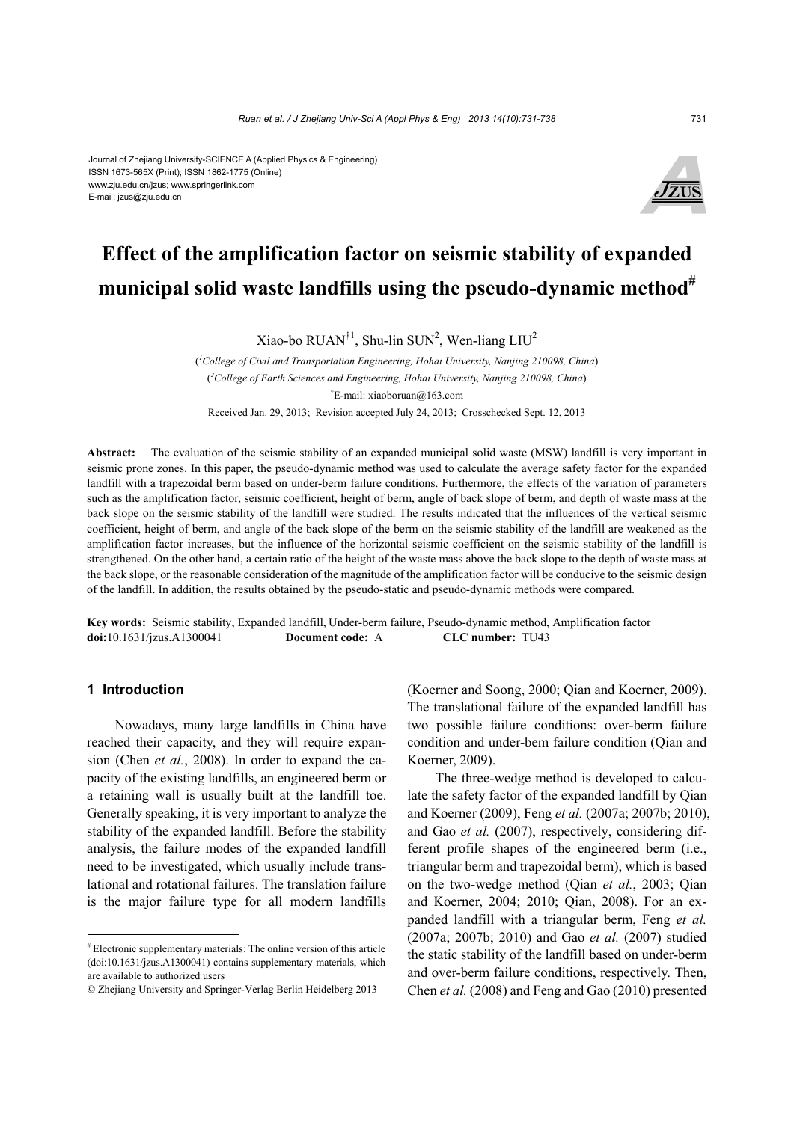#### Journal of Zhejiang University-SCIENCE A (Applied Physics & Engineering) ISSN 1673-565X (Print); ISSN 1862-1775 (Online) www.zju.edu.cn/jzus; www.springerlink.com E-mail: jzus@zju.edu.cn



# **Effect of the amplification factor on seismic stability of expanded**  municipal solid waste landfills using the pseudo-dynamic method<sup>#</sup>

Xiao-bo RUAN<sup>†1</sup>, Shu-lin SUN<sup>2</sup>, Wen-liang LIU<sup>2</sup>

( *1 College of Civil and Transportation Engineering, Hohai University, Nanjing 210098, China*) ( *2 College of Earth Sciences and Engineering, Hohai University, Nanjing 210098, China*) † E-mail: xiaoboruan@163.com Received Jan. 29, 2013; Revision accepted July 24, 2013; Crosschecked Sept. 12, 2013

**Abstract:** The evaluation of the seismic stability of an expanded municipal solid waste (MSW) landfill is very important in seismic prone zones. In this paper, the pseudo-dynamic method was used to calculate the average safety factor for the expanded landfill with a trapezoidal berm based on under-berm failure conditions. Furthermore, the effects of the variation of parameters such as the amplification factor, seismic coefficient, height of berm, angle of back slope of berm, and depth of waste mass at the back slope on the seismic stability of the landfill were studied. The results indicated that the influences of the vertical seismic coefficient, height of berm, and angle of the back slope of the berm on the seismic stability of the landfill are weakened as the amplification factor increases, but the influence of the horizontal seismic coefficient on the seismic stability of the landfill is strengthened. On the other hand, a certain ratio of the height of the waste mass above the back slope to the depth of waste mass at the back slope, or the reasonable consideration of the magnitude of the amplification factor will be conducive to the seismic design of the landfill. In addition, the results obtained by the pseudo-static and pseudo-dynamic methods were compared.

**Key words:** Seismic stability, Expanded landfill, Under-berm failure, Pseudo-dynamic method, Amplification factor **doi:**10.1631/jzus.A1300041 **Document code:** A **CLC number:** TU43

#### **1 Introduction**

Nowadays, many large landfills in China have reached their capacity, and they will require expansion (Chen *et al.*, 2008). In order to expand the capacity of the existing landfills, an engineered berm or a retaining wall is usually built at the landfill toe. Generally speaking, it is very important to analyze the stability of the expanded landfill. Before the stability analysis, the failure modes of the expanded landfill need to be investigated, which usually include translational and rotational failures. The translation failure is the major failure type for all modern landfills

(Koerner and Soong, 2000; Qian and Koerner, 2009). The translational failure of the expanded landfill has two possible failure conditions: over-berm failure condition and under-bem failure condition (Qian and Koerner, 2009).

The three-wedge method is developed to calculate the safety factor of the expanded landfill by Qian and Koerner (2009), Feng *et al.* (2007a; 2007b; 2010), and Gao *et al.* (2007), respectively, considering different profile shapes of the engineered berm (i.e., triangular berm and trapezoidal berm), which is based on the two-wedge method (Qian *et al.*, 2003; Qian and Koerner, 2004; 2010; Qian, 2008). For an expanded landfill with a triangular berm, Feng *et al.* (2007a; 2007b; 2010) and Gao *et al.* (2007) studied the static stability of the landfill based on under-berm and over-berm failure conditions, respectively. Then, Chen *et al.* (2008) and Feng and Gao (2010) presented

<sup>#</sup> Electronic supplementary materials: The online version of this article (doi:10.1631/jzus.A1300041) contains supplementary materials, which are available to authorized users

<sup>©</sup> Zhejiang University and Springer-Verlag Berlin Heidelberg 2013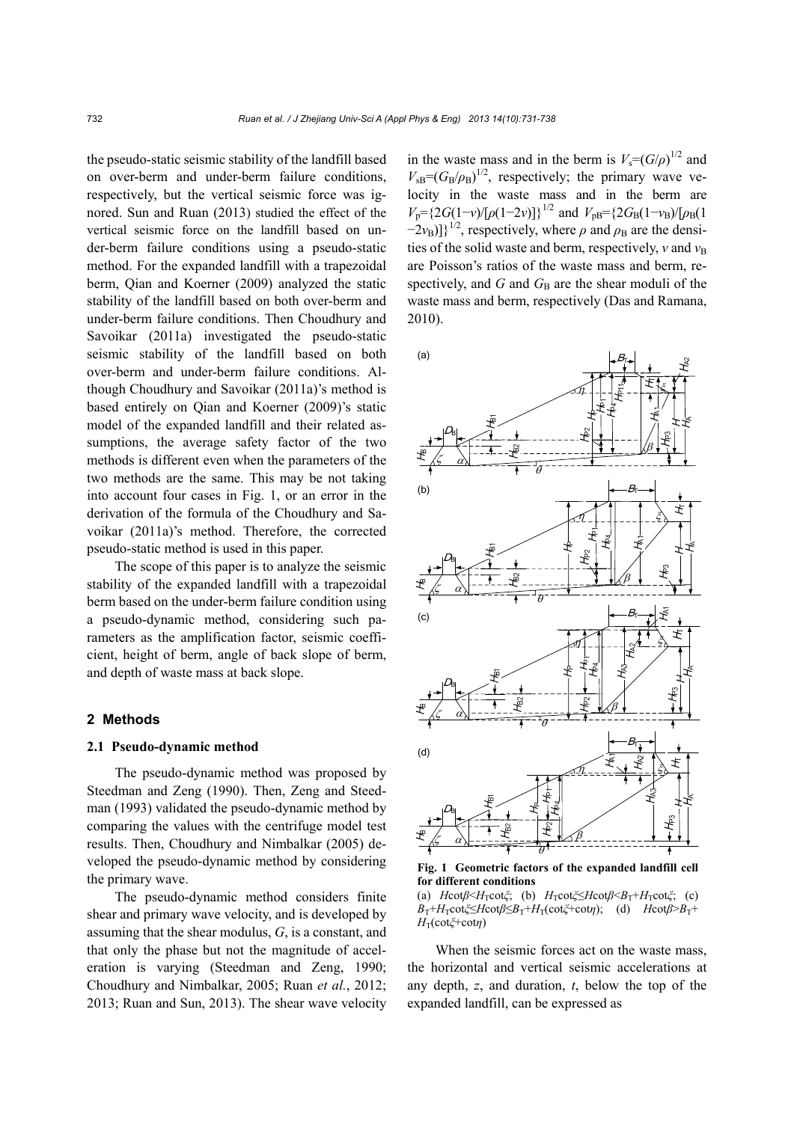the pseudo-static seismic stability of the landfill based on over-berm and under-berm failure conditions, respectively, but the vertical seismic force was ignored. Sun and Ruan (2013) studied the effect of the vertical seismic force on the landfill based on under-berm failure conditions using a pseudo-static method. For the expanded landfill with a trapezoidal berm, Qian and Koerner (2009) analyzed the static stability of the landfill based on both over-berm and under-berm failure conditions. Then Choudhury and Savoikar (2011a) investigated the pseudo-static seismic stability of the landfill based on both over-berm and under-berm failure conditions. Although Choudhury and Savoikar (2011a)'s method is based entirely on Qian and Koerner (2009)'s static model of the expanded landfill and their related assumptions, the average safety factor of the two methods is different even when the parameters of the two methods are the same. This may be not taking into account four cases in Fig. 1, or an error in the derivation of the formula of the Choudhury and Savoikar (2011a)'s method. Therefore, the corrected pseudo-static method is used in this paper.

The scope of this paper is to analyze the seismic stability of the expanded landfill with a trapezoidal berm based on the under-berm failure condition using a pseudo-dynamic method, considering such parameters as the amplification factor, seismic coefficient, height of berm, angle of back slope of berm, and depth of waste mass at back slope.

### **2 Methods**

#### **2.1 Pseudo-dynamic method**

The pseudo-dynamic method was proposed by Steedman and Zeng (1990). Then, Zeng and Steedman (1993) validated the pseudo-dynamic method by comparing the values with the centrifuge model test results. Then, Choudhury and Nimbalkar (2005) developed the pseudo-dynamic method by considering the primary wave.

The pseudo-dynamic method considers finite shear and primary wave velocity, and is developed by assuming that the shear modulus, *G*, is a constant, and that only the phase but not the magnitude of acceleration is varying (Steedman and Zeng, 1990; Choudhury and Nimbalkar, 2005; Ruan *et al.*, 2012; 2013; Ruan and Sun, 2013). The shear wave velocity

in the waste mass and in the berm is  $V_s = (G/\rho)^{1/2}$  and  $V_{\rm SB}=(G_{\rm B}/\rho_{\rm B})^{1/2}$ , respectively; the primary wave velocity in the waste mass and in the berm are  $V_{\rm p} = \left\{2G(1-\nu)/[\rho(1-2\nu)]\right\}^{1/2}$  and  $V_{\rm pB} = \left\{2G_{\rm B}(1-\nu_{\rm B})/[\rho_{\rm B}(1-\nu_{\rm B})/[\rho_{\rm B}(1-\nu_{\rm B})/[\rho_{\rm B}(1-\nu_{\rm B})/[\rho_{\rm B}(1-\nu_{\rm B})/[\rho_{\rm B}(1-\nu_{\rm B})/[\rho_{\rm B}(1-\nu_{\rm B})/[\rho_{\rm B}(1-\nu_{\rm B})/[\rho_{\rm B}(1-\nu_{\rm B})/[\rho_{\rm B}(1-\nu_{\rm B})/[\rho_{\rm$  $[-2v_B]$ }<sup>1/2</sup>, respectively, where  $\rho$  and  $\rho_B$  are the densities of the solid waste and berm, respectively,  $v$  and  $v<sub>B</sub>$ are Poisson's ratios of the waste mass and berm, respectively, and  $G$  and  $G_B$  are the shear moduli of the waste mass and berm, respectively (Das and Ramana, 2010).



**Fig. 1 Geometric factors of the expanded landfill cell for different conditions**  (a)  $H\text{cot}\beta \leq H_{\text{T}}\text{cot}\xi$ ; (b)  $H_{\text{T}}\text{cot}\xi \leq H\text{cot}\beta \leq B_{\text{T}}+H_{\text{T}}\text{cot}\xi$ ; (c) *B*<sub>T</sub>+*H*<sub>T</sub>cot*ζ*≤*H*cot*β*≤*B*<sub>T</sub>+*H*<sub>T</sub>(cot*ζ*+cot*η*); (d) *H*cot*β*>*B*<sub>T</sub>+ *H*<sub>T</sub>(cot*ξ*+cot*η*)

When the seismic forces act on the waste mass, the horizontal and vertical seismic accelerations at any depth, *z*, and duration, *t*, below the top of the expanded landfill, can be expressed as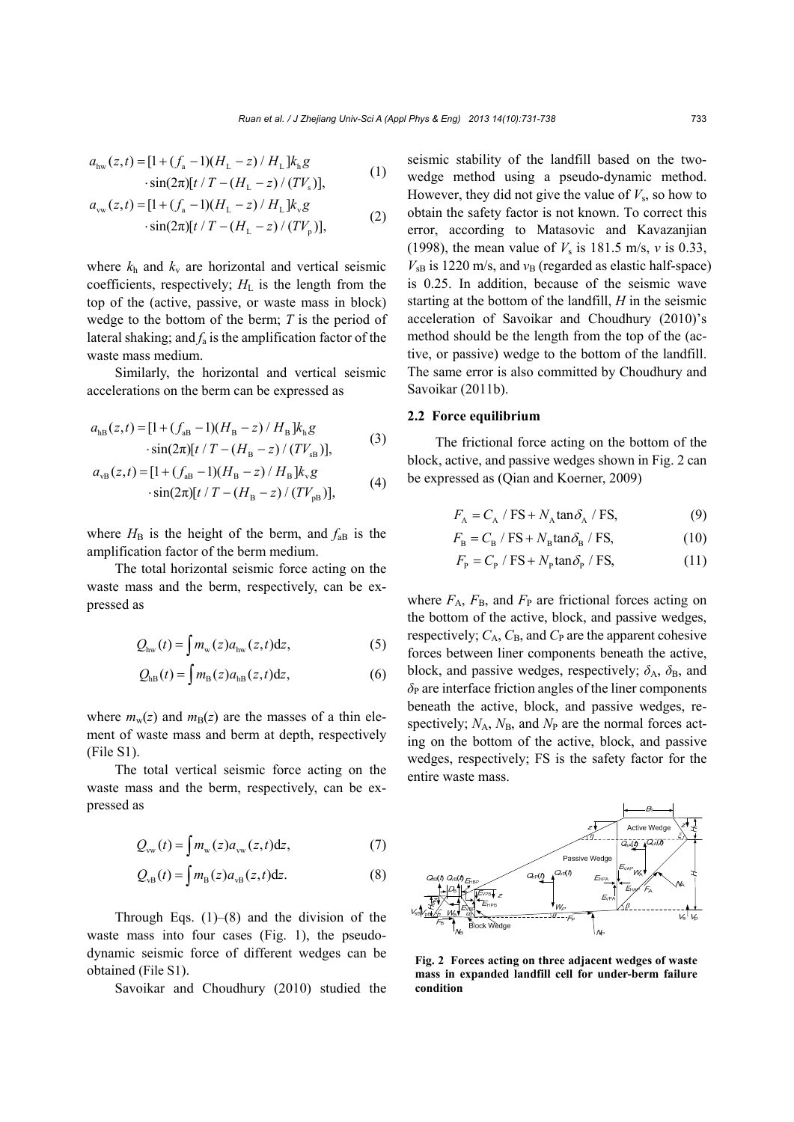$$
a_{hw}(z,t) = [1 + (f_a - 1)(H_L - z) / H_L]k_h g
$$
  
 
$$
\cdot \sin(2\pi)[t / T - (H_L - z) / (TV_s)],
$$
 (1)

$$
a_{vw}(z,t) = [1 + (f_a - 1)(H_L - z) / H_L]k_v g
$$
  
 
$$
\cdot \sin(2\pi)[t / T - (H_L - z) / (TV_p)],
$$
 (2)

where  $k_h$  and  $k_v$  are horizontal and vertical seismic coefficients, respectively;  $H<sub>L</sub>$  is the length from the top of the (active, passive, or waste mass in block) wedge to the bottom of the berm; *T* is the period of lateral shaking; and  $f_a$  is the amplification factor of the waste mass medium.

Similarly, the horizontal and vertical seismic accelerations on the berm can be expressed as

$$
a_{\text{hB}}(z,t) = [1 + (f_{\text{aB}} - 1)(H_{\text{B}} - z) / H_{\text{B}}]k_{\text{h}}g
$$
  
 
$$
\cdot \sin(2\pi)[t / T - (H_{\text{B}} - z) / (TV_{\text{sB}})],
$$
 (3)

$$
a_{\rm vB}(z,t) = [1 + (f_{\rm aB} - 1)(H_{\rm B} - z) / H_{\rm B}]k_{\rm v}g
$$
  
 
$$
\cdot \sin(2\pi)[t / T - (H_{\rm B} - z) / (TV_{\rm pB})],
$$
 (4)

where  $H_B$  is the height of the berm, and  $f_{AB}$  is the amplification factor of the berm medium.

The total horizontal seismic force acting on the waste mass and the berm, respectively, can be expressed as

$$
Q_{\text{hw}}(t) = \int m_{\text{w}}(z) a_{\text{hw}}(z, t) dz, \tag{5}
$$

$$
Q_{\text{hB}}(t) = \int m_{\text{B}}(z) a_{\text{hB}}(z, t) \text{d}z,\tag{6}
$$

where  $m_w(z)$  and  $m_B(z)$  are the masses of a thin element of waste mass and berm at depth, respectively (File S1).

The total vertical seismic force acting on the waste mass and the berm, respectively, can be expressed as

$$
Q_{vw}(t) = \int m_w(z)a_{vw}(z,t)dz,
$$
 (7)

$$
Q_{\rm vB}(t) = \int m_{\rm B}(z) a_{\rm vB}(z,t) \mathrm{d}z. \tag{8}
$$

Through Eqs. (1)–(8) and the division of the waste mass into four cases (Fig. 1), the pseudodynamic seismic force of different wedges can be obtained (File S1).

Savoikar and Choudhury (2010) studied the

seismic stability of the landfill based on the twowedge method using a pseudo-dynamic method. However, they did not give the value of  $V_s$ , so how to obtain the safety factor is not known. To correct this error, according to Matasovic and Kavazanjian (1998), the mean value of *V*s is 181.5 m/s, *v* is 0.33,  $V_{\rm SB}$  is 1220 m/s, and  $v_{\rm B}$  (regarded as elastic half-space) is 0.25. In addition, because of the seismic wave starting at the bottom of the landfill, *H* in the seismic acceleration of Savoikar and Choudhury (2010)'s method should be the length from the top of the (active, or passive) wedge to the bottom of the landfill. The same error is also committed by Choudhury and Savoikar (2011b).

### **2.2 Force equilibrium**

The frictional force acting on the bottom of the block, active, and passive wedges shown in Fig. 2 can be expressed as (Qian and Koerner, 2009)

$$
F_{A} = C_{A} / FS + N_{A} \tan \delta_{A} / FS,
$$
 (9)

$$
F_{\rm B} = C_{\rm B} / \text{FS} + N_{\rm B} \tan \delta_{\rm B} / \text{FS},\tag{10}
$$

$$
F_{\rm p} = C_{\rm p} / \text{FS} + N_{\rm p} \tan \delta_{\rm p} / \text{FS},\tag{11}
$$

where  $F_A$ ,  $F_B$ , and  $F_P$  are frictional forces acting on the bottom of the active, block, and passive wedges, respectively;  $C_A$ ,  $C_B$ , and  $C_P$  are the apparent cohesive forces between liner components beneath the active, block, and passive wedges, respectively;  $\delta_A$ ,  $\delta_B$ , and  $\delta_P$  are interface friction angles of the liner components beneath the active, block, and passive wedges, respectively;  $N_A$ ,  $N_B$ , and  $N_P$  are the normal forces acting on the bottom of the active, block, and passive wedges, respectively; FS is the safety factor for the entire waste mass.



**Fig. 2 Forces acting on three adjacent wedges of waste mass in expanded landfill cell for under-berm failure condition**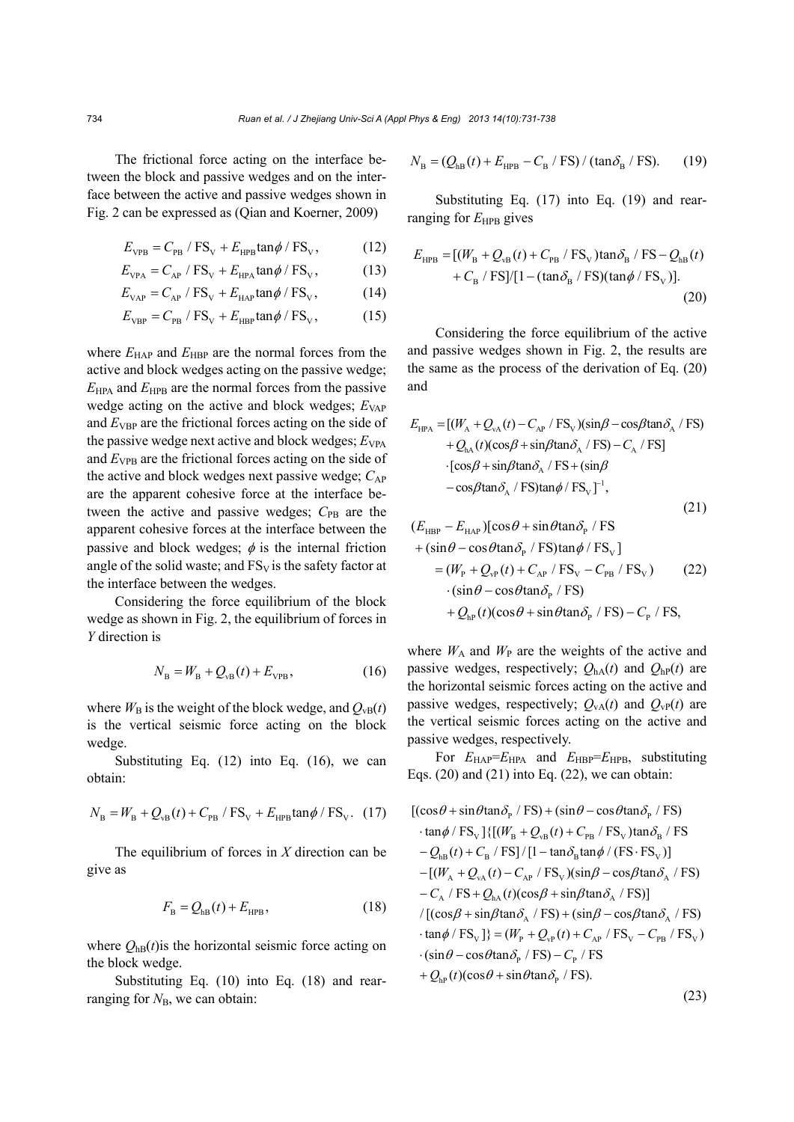The frictional force acting on the interface between the block and passive wedges and on the interface between the active and passive wedges shown in Fig. 2 can be expressed as (Qian and Koerner, 2009)

$$
E_{\rm VPB} = C_{\rm PB} / \text{FS}_{\rm V} + E_{\rm HPB} \tan\phi / \text{FS}_{\rm V},\tag{12}
$$

$$
E_{\text{VPA}} = C_{\text{AP}} / \text{FS}_{\text{V}} + E_{\text{HPA}} \tan \phi / \text{FS}_{\text{V}}, \tag{13}
$$

$$
E_{\text{VAP}} = C_{\text{AP}} / \text{FS}_{\text{V}} + E_{\text{HAP}} \tan \phi / \text{FS}_{\text{V}}, \tag{14}
$$

$$
E_{\text{VBP}} = C_{\text{PB}} / \text{FS}_{\text{V}} + E_{\text{HBP}} \tan \phi / \text{FS}_{\text{V}}, \tag{15}
$$

where  $E_{\text{HAP}}$  and  $E_{\text{HBP}}$  are the normal forces from the active and block wedges acting on the passive wedge;  $E_{\text{HPA}}$  and  $E_{\text{HPB}}$  are the normal forces from the passive wedge acting on the active and block wedges;  $E_{\text{VAP}}$ and  $E_{VBP}$  are the frictional forces acting on the side of the passive wedge next active and block wedges;  $E_{VPA}$ and  $E_{VPB}$  are the frictional forces acting on the side of the active and block wedges next passive wedge;  $C_{AP}$ are the apparent cohesive force at the interface between the active and passive wedges; C<sub>PB</sub> are the apparent cohesive forces at the interface between the passive and block wedges;  $\phi$  is the internal friction angle of the solid waste; and  $FS_V$  is the safety factor at the interface between the wedges.

Considering the force equilibrium of the block wedge as shown in Fig. 2, the equilibrium of forces in *Y* direction is

$$
N_{\rm B} = W_{\rm B} + Q_{\rm vB}(t) + E_{\rm VPB},\tag{16}
$$

where  $W_B$  is the weight of the block wedge, and  $Q_{vB}(t)$ is the vertical seismic force acting on the block wedge.

Substituting Eq. (12) into Eq. (16), we can obtain:

$$
N_{\rm B} = W_{\rm B} + Q_{\rm vB}(t) + C_{\rm PB} / \text{FS}_{\rm V} + E_{\rm HPB} \tan \phi / \text{FS}_{\rm V}. \tag{17}
$$

The equilibrium of forces in *X* direction can be give as

$$
F_{\rm B} = Q_{\rm hB}(t) + E_{\rm HPB},\qquad(18)
$$

where  $Q_{hB}(t)$  is the horizontal seismic force acting on the block wedge.

Substituting Eq. (10) into Eq. (18) and rearranging for  $N_B$ , we can obtain:

$$
N_{\rm B} = (Q_{\rm hB}(t) + E_{\rm HPB} - C_{\rm B} / \rm{FS}) / (\tan \delta_{\rm B} / \rm{FS}).
$$
 (19)

Substituting Eq. (17) into Eq. (19) and rearranging for  $E_{HPB}$  gives

$$
E_{\rm HPB} = [(W_{\rm B} + Q_{\rm vB}(t) + C_{\rm PB} / \rm{FS}_V) \tan \delta_{\rm B} / \rm{FS} - Q_{\rm hB}(t) + C_{\rm B} / \rm{FS}]/[1 - (\tan \delta_{\rm B} / \rm{FS})(\tan \phi / \rm{FS}_V)].
$$
\n(20)

Considering the force equilibrium of the active and passive wedges shown in Fig. 2, the results are the same as the process of the derivation of Eq. (20) and

$$
E_{\text{HPA}} = [(W_{\text{A}} + Q_{\text{vA}}(t) - C_{\text{AP}} / \text{FS}_{\text{V}})(\sin\beta - \cos\beta\tan\delta_{\text{A}} / \text{FS})
$$
  
+  $Q_{\text{hA}}(t)(\cos\beta + \sin\beta\tan\delta_{\text{A}} / \text{FS}) - C_{\text{A}} / \text{FS}]$   
· $[\cos\beta + \sin\beta\tan\delta_{\text{A}} / \text{FS} + (\sin\beta$   
-  $\cos\beta\tan\delta_{\text{A}} / \text{FS})\tan\phi / \text{FS}_{\text{V}}]^{-1}$ , (21)

$$
(E_{\text{HBP}} - E_{\text{HAP}})[\cos\theta + \sin\theta\tan\delta_{\text{P}} / \text{FS} + (\sin\theta - \cos\theta\tan\delta_{\text{P}} / \text{FS})\tan\phi / \text{FS}_{\text{V}}] = (W_{\text{P}} + Q_{\text{VP}}(t) + C_{\text{AP}} / \text{FS}_{\text{V}} - C_{\text{PB}} / \text{FS}_{\text{V}}) \qquad (22) \cdot (\sin\theta - \cos\theta\tan\delta_{\text{P}} / \text{FS}) + Q_{\text{hP}}(t)(\cos\theta + \sin\theta\tan\delta_{\text{P}} / \text{FS}) - C_{\text{P}} / \text{FS},
$$

where  $W_A$  and  $W_P$  are the weights of the active and passive wedges, respectively;  $Q_{hA}(t)$  and  $Q_{hP}(t)$  are the horizontal seismic forces acting on the active and passive wedges, respectively;  $Q_{vA}(t)$  and  $Q_{vP}(t)$  are the vertical seismic forces acting on the active and passive wedges, respectively.

For  $E_{\text{HAP}}=E_{\text{HPA}}$  and  $E_{\text{HBP}}=E_{\text{HPB}}$ , substituting Eqs.  $(20)$  and  $(21)$  into Eq.  $(22)$ , we can obtain:

$$
[(\cos\theta + \sin\theta\tan\delta_{P} / FS) + (\sin\theta - \cos\theta\tan\delta_{P} / FS)
$$
  
\n
$$
\cdot \tan\phi / FS_{V}] \{ [(W_{B} + Q_{vB}(t) + C_{PB} / FS_{V})\tan\delta_{B} / FS - Q_{hB}(t) + C_{B} / FS] / [1 - \tan\delta_{B}\tan\phi / (FS \cdot FS_{V})] - [(W_{A} + Q_{vA}(t) - C_{AP} / FS_{V})(\sin\beta - \cos\beta\tan\delta_{A} / FS) - C_{A} / FS + Q_{hA}(t)(\cos\beta + \sin\beta\tan\delta_{A} / FS)]
$$
  
\n
$$
/ [(\cos\beta + \sin\beta\tan\delta_{A} / FS) + (\sin\beta - \cos\beta\tan\delta_{A} / FS) - \tan\phi / FS_{V}] \} = (W_{P} + Q_{vP}(t) + C_{AP} / FS_{V} - C_{PB} / FS_{V}) - (\sin\theta - \cos\theta\tan\delta_{P} / FS) - C_{P} / FS - C_{PB} / FS_{V})
$$
  
\n
$$
+ Q_{hP}(t)(\cos\theta + \sin\theta\tan\delta_{P} / FS).
$$
  
\n(23)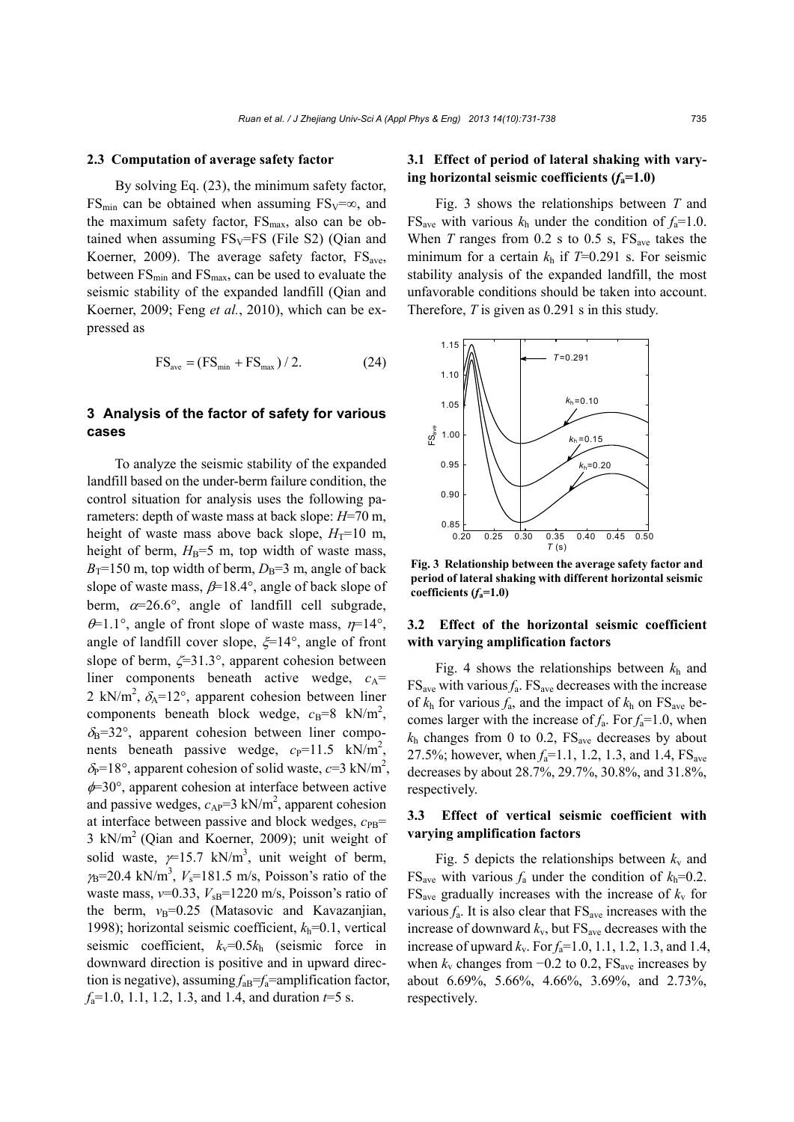#### **2.3 Computation of average safety factor**

By solving Eq. (23), the minimum safety factor, FS<sub>min</sub> can be obtained when assuming FS<sub>V</sub>=∞, and the maximum safety factor,  $FS<sub>max</sub>$ , also can be obtained when assuming  $FS_V=FS$  (File S2) (Qian and Koerner, 2009). The average safety factor,  $FS_{ave}$ , between  $FS_{min}$  and  $FS_{max}$ , can be used to evaluate the seismic stability of the expanded landfill (Qian and Koerner, 2009; Feng *et al.*, 2010), which can be expressed as

$$
FSave = (FSmin + FSmax) / 2.
$$
 (24)

# **3 Analysis of the factor of safety for various cases**

To analyze the seismic stability of the expanded landfill based on the under-berm failure condition, the control situation for analysis uses the following parameters: depth of waste mass at back slope: *H*=70 m, height of waste mass above back slope,  $H_T=10$  m, height of berm,  $H_B=5$  m, top width of waste mass,  $B_T$ =150 m, top width of berm,  $D_B$ =3 m, angle of back slope of waste mass,  $\beta$ =18.4°, angle of back slope of berm,  $\alpha=26.6^\circ$ , angle of landfill cell subgrade,  $\theta$ =1.1°, angle of front slope of waste mass,  $\eta$ =14°, angle of landfill cover slope,  $\xi=14^\circ$ , angle of front slope of berm,  $\zeta = 31.3^\circ$ , apparent cohesion between liner components beneath active wedge,  $c_A$ = 2 kN/m<sup>2</sup>,  $\delta_A$ =12°, apparent cohesion between liner components beneath block wedge,  $c_B = 8$  kN/m<sup>2</sup>,  $\delta_B$ =32°, apparent cohesion between liner components beneath passive wedge,  $c_P = 11.5$  kN/m<sup>2</sup>,  $\delta_P$ =18°, apparent cohesion of solid waste,  $c=3$  kN/m<sup>2</sup>,  $\phi$ =30°, apparent cohesion at interface between active and passive wedges,  $c_{AP} = 3 \text{ kN/m}^2$ , apparent cohesion at interface between passive and block wedges,  $c_{PB}$ =  $3 \text{ kN/m}^2$  (Qian and Koerner, 2009); unit weight of solid waste,  $\gamma$ =15.7 kN/m<sup>3</sup>, unit weight of berm,  $\gamma_{\rm B}$ =20.4 kN/m<sup>3</sup>,  $V_{\rm s}$ =181.5 m/s, Poisson's ratio of the waste mass,  $v=0.33$ ,  $V_{\rm SB}=1220$  m/s, Poisson's ratio of the berm,  $v_B$ =0.25 (Matasovic and Kavazanjian, 1998); horizontal seismic coefficient, *k*h=0.1, vertical seismic coefficient,  $k_v=0.5k_h$  (seismic force in downward direction is positive and in upward direction is negative), assuming  $f_{AB} = f_{A}$ =amplification factor, *f*a=1.0, 1.1, 1.2, 1.3, and 1.4, and duration *t*=5 s.

# **3.1 Effect of period of lateral shaking with vary**ing horizontal seismic coefficients  $(f_a=1.0)$

Fig. 3 shows the relationships between *T* and FS<sub>ave</sub> with various  $k<sub>h</sub>$  under the condition of  $f<sub>a</sub>=1.0$ . When *T* ranges from 0.2 s to 0.5 s,  $FS<sub>ave</sub>$  takes the minimum for a certain  $k<sub>h</sub>$  if  $T=0.291$  s. For seismic stability analysis of the expanded landfill, the most unfavorable conditions should be taken into account. Therefore, *T* is given as 0.291 s in this study.



**Fig. 3 Relationship between the average safety factor and period of lateral shaking with different horizontal seismic coefficients (***f***a=1.0)** 

## **3.2 Effect of the horizontal seismic coefficient with varying amplification factors**

Fig. 4 shows the relationships between  $k<sub>h</sub>$  and  $FS<sub>ave</sub>$  with various  $f<sub>a</sub>$ . FS<sub>ave</sub> decreases with the increase of  $k_h$  for various  $f_a$ , and the impact of  $k_h$  on  $FS_{ave}$  becomes larger with the increase of  $f_a$ . For  $f_a=1.0$ , when  $k<sub>h</sub>$  changes from 0 to 0.2,  $FS<sub>ave</sub>$  decreases by about 27.5%; however, when  $f_a=1.1$ , 1.2, 1.3, and 1.4,  $FS_{ave}$ decreases by about 28.7%, 29.7%, 30.8%, and 31.8%, respectively.

## **3.3 Effect of vertical seismic coefficient with varying amplification factors**

Fig. 5 depicts the relationships between  $k_v$  and FS<sub>ave</sub> with various  $f_a$  under the condition of  $k_h$ =0.2.  $FS<sub>ave</sub>$  gradually increases with the increase of  $k<sub>v</sub>$  for various  $f_a$ . It is also clear that  $FS_{ave}$  increases with the increase of downward  $k_{v}$ , but  $FS_{ave}$  decreases with the increase of upward  $k_v$ . For  $f_a = 1.0, 1.1, 1.2, 1.3,$  and 1.4, when  $k<sub>v</sub>$  changes from −0.2 to 0.2, FS<sub>ave</sub> increases by about 6.69%, 5.66%, 4.66%, 3.69%, and 2.73%, respectively.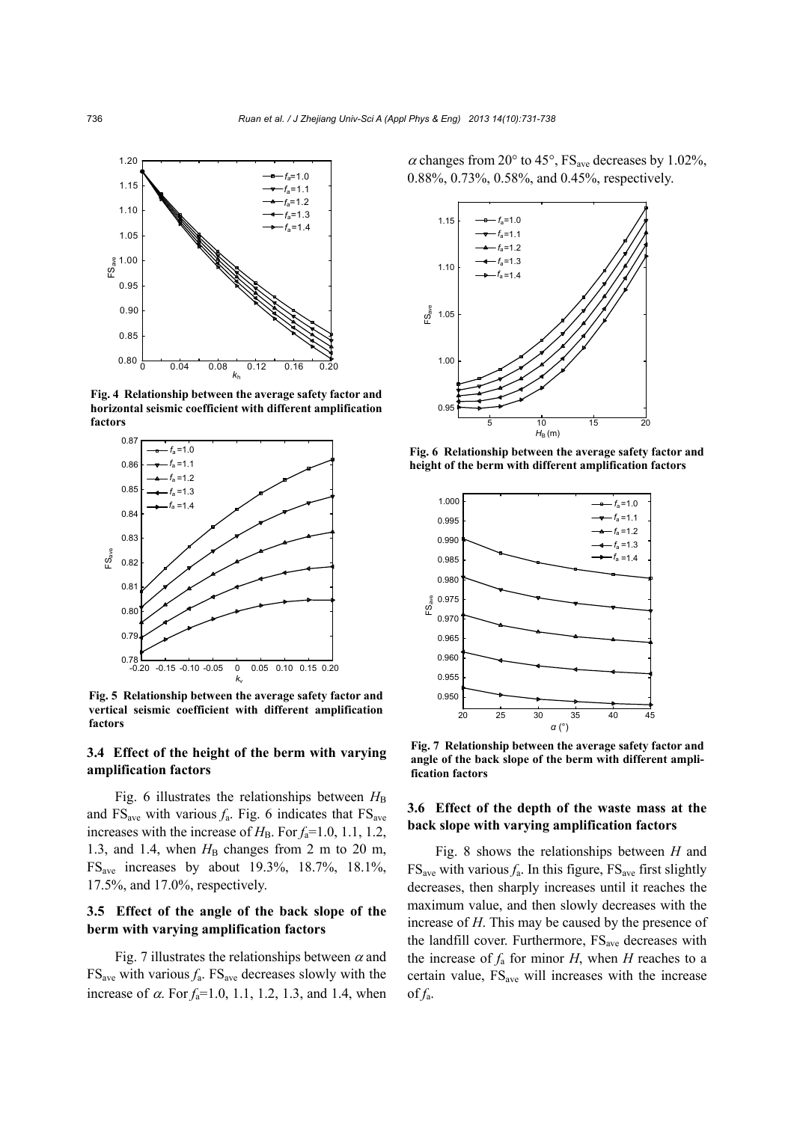

**Fig. 4 Relationship between the average safety factor and horizontal seismic coefficient with different amplification factors** 



**Fig. 5 Relationship between the average safety factor and vertical seismic coefficient with different amplification factors** 

## **3.4 Effect of the height of the berm with varying amplification factors**

Fig. 6 illustrates the relationships between  $H<sub>B</sub>$ and  $FS_{ave}$  with various  $f_a$ . Fig. 6 indicates that  $FS_{ave}$ increases with the increase of  $H_B$ . For  $f_a=1.0$ , 1.1, 1.2, 1.3, and 1.4, when  $H<sub>B</sub>$  changes from 2 m to 20 m, FSave increases by about 19.3%, 18.7%, 18.1%, 17.5%, and 17.0%, respectively.

# **3.5 Effect of the angle of the back slope of the berm with varying amplification factors**

Fig. 7 illustrates the relationships between  $\alpha$  and  $FS<sub>ave</sub>$  with various  $f_a$ .  $FS<sub>ave</sub>$  decreases slowly with the increase of  $\alpha$ . For  $f_a=1.0, 1.1, 1.2, 1.3,$  and 1.4, when  $\alpha$  changes from 20° to 45°, FS<sub>ave</sub> decreases by 1.02%, 0.88%, 0.73%, 0.58%, and 0.45%, respectively.



**Fig. 6 Relationship between the average safety factor and height of the berm with different amplification factors** 



**Fig. 7 Relationship between the average safety factor and angle of the back slope of the berm with different ampli-**

# **3.6 Effect of the depth of the waste mass at the back slope with varying amplification factors**

Fig. 8 shows the relationships between *H* and  $FS<sub>ave</sub>$  with various  $f<sub>a</sub>$ . In this figure,  $FS<sub>ave</sub>$  first slightly decreases, then sharply increases until it reaches the maximum value, and then slowly decreases with the increase of *H*. This may be caused by the presence of the landfill cover. Furthermore,  $FS_{ave}$  decreases with the increase of  $f_a$  for minor *H*, when *H* reaches to a certain value,  $FS<sub>ave</sub>$  will increases with the increase of  $f_a$ .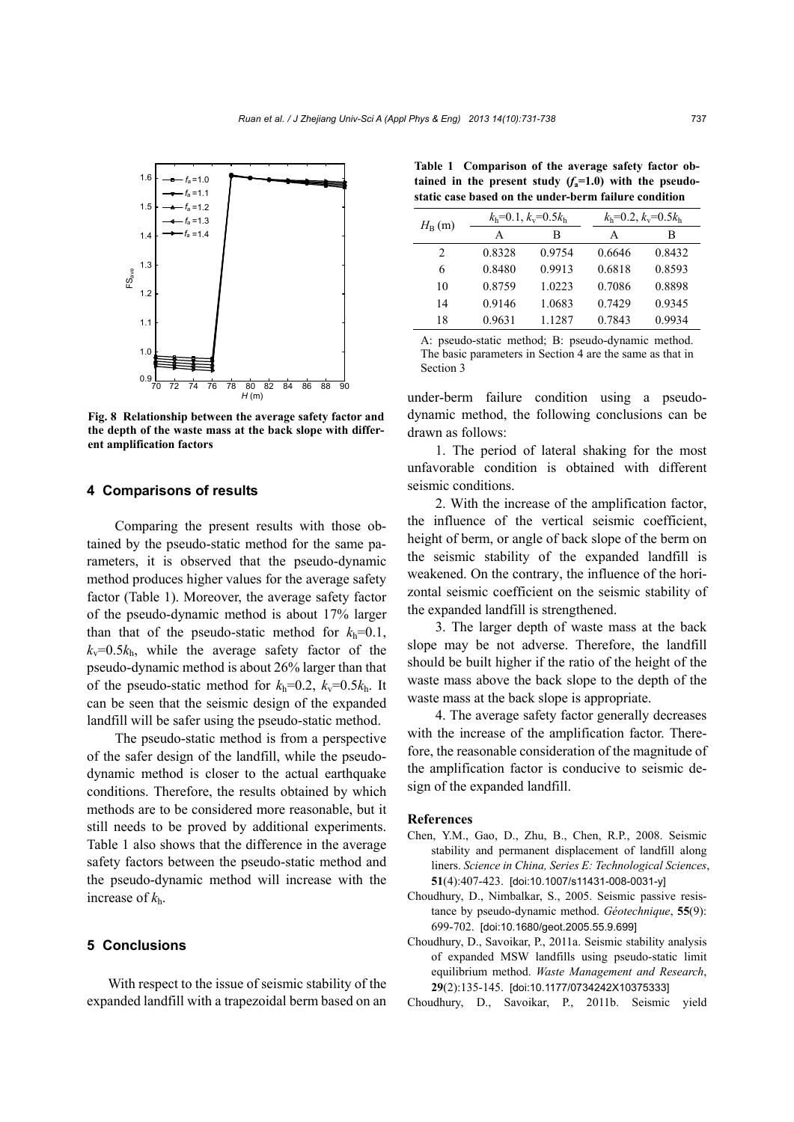

**Fig. 8 Relationship between the average safety factor and the depth of the waste mass at the back slope with different amplification factors** 

#### **4 Comparisons of results**

Comparing the present results with those obtained by the pseudo-static method for the same parameters, it is observed that the pseudo-dynamic method produces higher values for the average safety factor (Table 1). Moreover, the average safety factor of the pseudo-dynamic method is about 17% larger than that of the pseudo-static method for  $k_h=0.1$ ,  $k_v=0.5k_h$ , while the average safety factor of the pseudo-dynamic method is about 26% larger than that of the pseudo-static method for  $k_h=0.2$ ,  $k_v=0.5k_h$ . It can be seen that the seismic design of the expanded landfill will be safer using the pseudo-static method.

The pseudo-static method is from a perspective of the safer design of the landfill, while the pseudodynamic method is closer to the actual earthquake conditions. Therefore, the results obtained by which methods are to be considered more reasonable, but it still needs to be proved by additional experiments. Table 1 also shows that the difference in the average safety factors between the pseudo-static method and the pseudo-dynamic method will increase with the increase of *k*h.

### **5 Conclusions**

With respect to the issue of seismic stability of the expanded landfill with a trapezoidal berm based on an

**Table 1 Comparison of the average safety factor ob**tained in the present study  $(f_a=1.0)$  with the pseudo**static case based on the under-berm failure condition** 

| $H_{\rm B}(m)$ | $k_h$ =0.1, $k_v$ =0.5 $k_h$ |        | $k_h$ =0.2, $k_v$ =0.5 $k_h$ |        |
|----------------|------------------------------|--------|------------------------------|--------|
|                | А                            | в      | A                            | В      |
| $\mathfrak{D}$ | 0.8328                       | 0.9754 | 0.6646                       | 0.8432 |
| 6              | 0.8480                       | 0.9913 | 0.6818                       | 0.8593 |
| 10             | 0.8759                       | 1.0223 | 0.7086                       | 0.8898 |
| 14             | 0.9146                       | 1.0683 | 0.7429                       | 0.9345 |
| 18             | 0.9631                       | 1.1287 | 0.7843                       | 0.9934 |

A: pseudo-static method; B: pseudo-dynamic method. The basic parameters in Section 4 are the same as that in Section 3

under-berm failure condition using a pseudodynamic method, the following conclusions can be drawn as follows:

1. The period of lateral shaking for the most unfavorable condition is obtained with different seismic conditions.

2. With the increase of the amplification factor, the influence of the vertical seismic coefficient, height of berm, or angle of back slope of the berm on the seismic stability of the expanded landfill is weakened. On the contrary, the influence of the horizontal seismic coefficient on the seismic stability of the expanded landfill is strengthened.

3. The larger depth of waste mass at the back slope may be not adverse. Therefore, the landfill should be built higher if the ratio of the height of the waste mass above the back slope to the depth of the waste mass at the back slope is appropriate.

4. The average safety factor generally decreases with the increase of the amplification factor. Therefore, the reasonable consideration of the magnitude of the amplification factor is conducive to seismic design of the expanded landfill.

#### **References**

- Chen, Y.M., Gao, D., Zhu, B., Chen, R.P., 2008. Seismic stability and permanent displacement of landfill along liners. *Science in China, Series E: Technological Sciences*, **51**(4):407-423. [doi:10.1007/s11431-008-0031-y]
- Choudhury, D., Nimbalkar, S., 2005. Seismic passive resistance by pseudo-dynamic method. *Géotechnique*, **55**(9): 699-702. [doi:10.1680/geot.2005.55.9.699]
- Choudhury, D., Savoikar, P., 2011a. Seismic stability analysis of expanded MSW landfills using pseudo-static limit equilibrium method. *Waste Management and Research*, **29**(2):135-145. [doi:10.1177/0734242X10375333]
- Choudhury, D., Savoikar, P., 2011b. Seismic yield